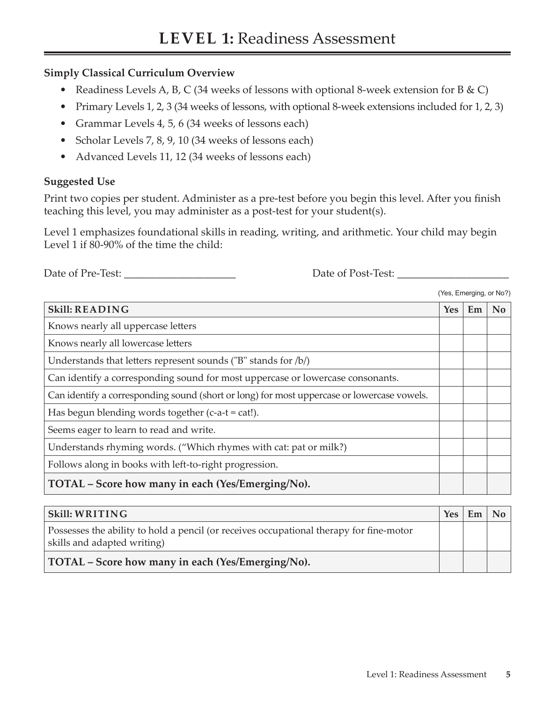## **Simply Classical Curriculum Overview**

- Readiness Levels A, B, C (34 weeks of lessons with optional 8-week extension for B  $\&$  C)
- Primary Levels 1, 2, 3 (34 weeks of lessons, with optional 8-week extensions included for 1, 2, 3)
- Grammar Levels 4, 5, 6 (34 weeks of lessons each)
- Scholar Levels 7, 8, 9, 10 (34 weeks of lessons each)
- Advanced Levels 11, 12 (34 weeks of lessons each)

## **Suggested Use**

Print two copies per student. Administer as a pre-test before you begin this level. After you finish teaching this level, you may administer as a post-test for your student(s).

Level 1 emphasizes foundational skills in reading, writing, and arithmetic. Your child may begin Level 1 if 80-90% of the time the child:

Date of Pre-Test: \_\_\_\_\_\_\_\_\_\_\_\_\_\_\_\_\_\_\_\_\_ Date of Post-Test: \_\_\_\_\_\_\_\_\_\_\_\_\_\_\_\_\_\_\_\_\_

(Yes, Emerging, or No?)

| <b>Skill: READING</b>                                                                      | <b>Yes</b> | Em | N <sub>o</sub> |
|--------------------------------------------------------------------------------------------|------------|----|----------------|
| Knows nearly all uppercase letters                                                         |            |    |                |
| Knows nearly all lowercase letters                                                         |            |    |                |
| Understands that letters represent sounds ("B" stands for /b/)                             |            |    |                |
| Can identify a corresponding sound for most uppercase or lowercase consonants.             |            |    |                |
| Can identify a corresponding sound (short or long) for most uppercase or lowercase vowels. |            |    |                |
| Has begun blending words together $(c-a-t = cat!)$ .                                       |            |    |                |
| Seems eager to learn to read and write.                                                    |            |    |                |
| Understands rhyming words. ("Which rhymes with cat: pat or milk?)                          |            |    |                |
| Follows along in books with left-to-right progression.                                     |            |    |                |
| TOTAL - Score how many in each (Yes/Emerging/No).                                          |            |    |                |

| $\vert$ Skill: WRITING                                                                                                 | Yes | Em | $\overline{N_{0}}$ |
|------------------------------------------------------------------------------------------------------------------------|-----|----|--------------------|
| Possesses the ability to hold a pencil (or receives occupational therapy for fine-motor<br>skills and adapted writing) |     |    |                    |
| TOTAL – Score how many in each (Yes/Emerging/No).                                                                      |     |    |                    |